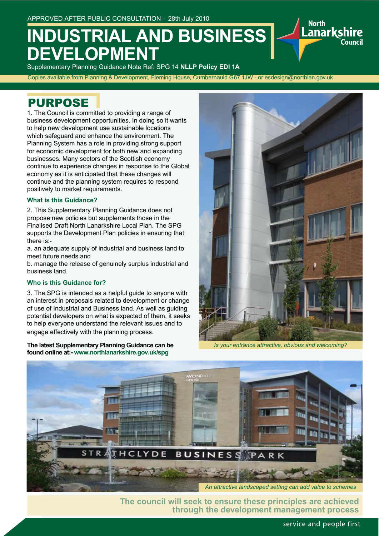# **INDUSTRIAL AND BUSINESS EVELOPMEN**

Supplementary Planning Guidance Note Ref: SPG 14 **NLLP Policy EDI 1A** Copies available from Planning & Development, Fleming House, Cumbernauld G67 1JW - or esdesign@northlan.gov.uk

## PURPOSE

1. The Council is committed to providing a range of business development opportunities. In doing so it wants to help new development use sustainable locations which safeguard and enhance the environment. The Planning System has a role in providing strong support for economic development for both new and expanding businesses. Many sectors of the Scottish economy continue to experience changes in response to the Global economy as it is anticipated that these changes will continue and the planning system requires to respond positively to market requirements.

#### **What is this Guidance?**

2. This Supplementary Planning Guidance does not propose new policies but supplements those in the Finalised Draft North Lanarkshire Local Plan. The SPG supports the Development Plan policies in ensuring that there is:-

a. an adequate supply of industrial and business land to meet future needs and

b. manage the release of genuinely surplus industrial and business land.

#### **Who is this Guidance for?**

3. The SPG is intended as a helpful guide to anyone with an interest in proposals related to development or change of use of Industrial and Business land. As well as guiding potential developers on what is expected of them, it seeks to help everyone understand the relevant issues and to engage effectively with the planning process.

**The latest Supplementary Planning Guidance can be found online at:- www.northlanarkshire.gov.uk/spg**



anarkshire.

`nııncil

*Is your entrance attractive, obvious and welcoming?*



**The council will seek to ensure these principles are achieved through the development management process**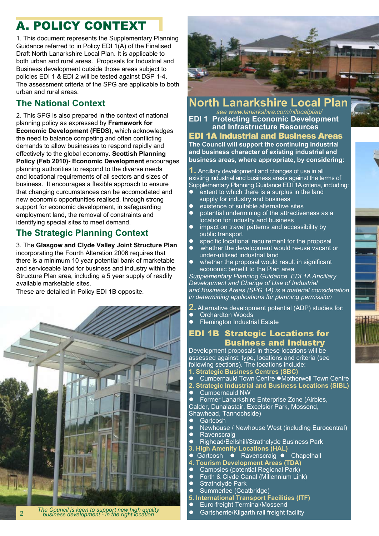## A. POLICY CONTEXT

1. This document represents the Supplementary Planning Guidance referred to in Policy EDI 1(A) of the Finalised Draft North Lanarkshire Local Plan. It is applicable to both urban and rural areas. Proposals for Industrial and Business development outside those areas subject to policies EDI 1 & EDI 2 will be tested against DSP 1-4. The assessment criteria of the SPG are applicable to both urban and rural areas.

### **The National Context**

2. This SPG is also prepared in the context of national planning policy as expressed by **Framework for Economic Development (FEDS),** which acknowledges the need to balance competing and often conflicting demands to allow businesses to respond rapidly and effectively to the global economy. **Scottish Planning Policy (Feb 2010)- Economic Development** encourages planning authorities to respond to the diverse needs and locational requirements of all sectors and sizes of business. It encourages a flexible approach to ensure that changing curcumstances can be accomodated and new economic opportunities realised, through strong support for economic development, in safeguarding employment land, the removal of constraints and identifying special sites to meet demand.

### **The Strategic Planning Context**

3. The **Glasgow and Clyde Valley Joint Structure Plan**  incorporating the Fourth Alteration 2006 requires that there is a minimum 10 year potential bank of marketable and serviceable land for business and industry within the Structure Plan area, including a 5 year supply of readily available marketable sites.

These are detailed in Policy EDI 1B opposite.



*The Council is keen to support new high quality business development - in the right location*



#### **North Lanarkshire Local Plan** see www.lanarkshire.com/nllocalplan/

**EDI 1 Protecting Economic Development and Infrastructure Resources**

EDI 1A Industrial and Business Areas **The Council will support the continuing industrial and business character of existing industrial and business areas, where appropriate, by considering:**

**1.** Ancillary development and changes of use in all existing industrial and business areas against the terms of Supplementary Planning Guidance EDI 1A criteria, including:

- extent to which there is a surplus in the land supply for industry and business
- existence of suitable alternative sites
- potential undermining of the attractiveness as a location for industry and business
- impact on travel patterns and accessibility by public transport
- specific locational requirement for the proposal
- whether the development would re-use vacant or under-utilised industrial land
- $\bullet$  whether the proposal would result in significant economic benefit to the Plan area

*Supplementary Planning Guidance EDI 1A Ancillary Development and Change of Use of Industrial and Business Areas (SPG 14) is a material consideration in determining applications for planning permission*

- **2.** Alternative development potential (ADP) studies for:
- **Orchardton Woods**
- **Flemington Industrial Estate**

#### EDI 1B Strategic Locations for Business and Industry

Development proposals in these locations will be assessed against: type, locations and criteria (see following sections). The locations include: **1. Strategic Business Centres (SBC)**

- Cumbernauld Town Centre ●Motherwell Town Centre
- **2. Strategic Industrial and Business Locations (SIBL)**
- Cumbernauld NW
- Former Lanarkshire Enterprise Zone (Airbles,

Calder, Dunalastair, Excelsior Park, Mossend,

- Shawhead, Tannochside)
- **Cartcosh**<br>
Newhous
- Newhouse / Newhouse West (including Eurocentral)<br>● Ravenscraig
- **Ravenscraig**
- l Righead/Bellshill/Strathclyde Business Park
- **3. High Amenity Locations (HAL)**<br>● Gartcosh Ravenscraig ●
- Gartcosh Ravenscraig Chapelhall
- **4. Tourism Development Areas (TDA)**<br>● Campsies (potential Regional Park)
- Campsies (potential Regional Park)<br>● Forth & Clyde Canal (Millennium Lin
- Forth & Clyde Canal (Millennium Link)<br>● Strathclyde Park
- Strathclyde Park<br>• Summerlee (Coa
- Summerlee (Coatbridge)
- **5. International Transport Facilities (ITF)**
- Euro-freight Terminal/Mossend<br>● Gartsherrie/Kilgarth rail freight f
- Gartsherrie/Kilgarth rail freight facility

2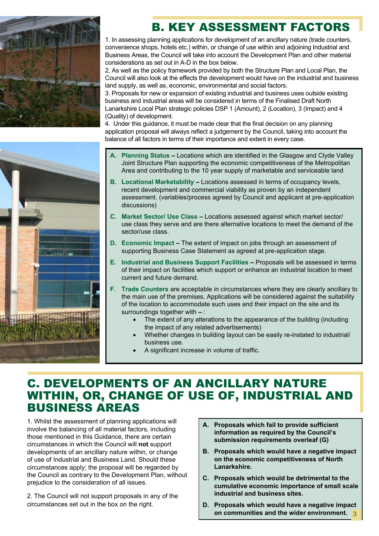

## B. KEY ASSESSMENT FACTORS

1. In assessing planning applications for development of an ancillary nature (trade counters, convenience shops, hotels etc.) within, or change of use within and adjoining Industrial and Business Areas, the Council will take into account the Development Plan and other material considerations as set out in A-D in the box below.

2. As well as the policy framework provided by both the Structure Plan and Local Plan, the Council will also look at the effects the development would have on the industrial and business land supply, as well as, economic, environmental and social factors.

3. Proposals for new or expansion of existing industrial and business uses outside existing business and industrial areas will be considered in terms of the Finalised Draft North Lanarkshire Local Plan strategic policies DSP 1 (Amount), 2 (Location), 3 (Impact) and 4 (Quality) of development.

4. Under this guidance, it must be made clear that the final decision on any planning application proposal will always reflect a judgement by the Council, taking into account the balance of all factors in terms of their importance and extent in every case.

- **A. Planning Status** Locations which are identified in the Glasgow and Clyde Valley Joint Structure Plan supporting the economic competitiveness of the Metropolitan Area and contributing to the 10 year supply of marketable and serviceable land
- **B. Locational Marketability** Locations assessed in terms of occupancy levels, recent development and commercial viability as proven by an independent assessment. (variables/process agreed by Council and applicant at pre-application discussions)
- **C. Market Sector/ Use Class** Locations assessed against which market sector/ use class they serve and are there alternative locations to meet the demand of the sector/use class.
- **D. Economic Impact –** The extent of impact on jobs through an assessment of supporting Business Case Statement as agreed at pre-application stage.
- **E. Industrial and Business Support Facilities** Proposals will be assessed in terms of their impact on facilities which support or enhance an industrial location to meet current and future demand.
- **F. Trade Counters** are acceptable in circumstances where they are clearly ancillary to the main use of the premises. Applications will be considered against the suitability of the location to accommodate such uses and their impact on the site and its surroundings together with **–** :
	- The extent of any alterations to the appearance of the building (including the impact of any related advertisements)
	- Whether changes in building layout can be easily re-instated to industrial/ business use.
	- A significant increase in volume of traffic.

### C. DEVELOPMENTS OF AN ANCILLARY NATURE WITHIN, OR, CHANGE OF USE OF, INDUSTRIAL AND BUSINESS AREAS

1. Whilst the assessment of planning applications will involve the balancing of all material factors, including those mentioned in this Guidance, there are certain circumstances in which the Council will **not** support developments of an ancillary nature within, or change of use of Industrial and Business Land. Should these circumstances apply; the proposal will be regarded by the Council as contrary to the Development Plan, without prejudice to the consideration of all issues.

2. The Council will not support proposals in any of the circumstances set out in the box on the right.

- **A. Proposals which fail to provide sufficient information as required by the Council's submission requirements overleaf (G)**
- **B. Proposals which would have a negative impact on the economic competitiveness of North Lanarkshire.**
- **C. Proposals which would be detrimental to the cumulative economic importance of small scale industrial and business sites.**
- **D. Proposals which would have a negative impact on communities and the wider environment.** 3